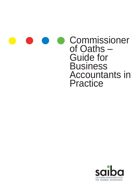|  |  | <b>COMMISSIONER</b><br>of Oaths -<br><b>Guide for</b><br><b>Business</b><br><b>Accountants in</b> |
|--|--|---------------------------------------------------------------------------------------------------|
|  |  | Practice                                                                                          |

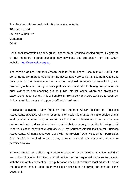The Southern African Institute for Business Accountants 10 Centuria Park 265 Von Willich Ave **Centurion** 0046

For further information on this guide, please email technical@saiba.org.za. Registered SAIBA members in good standing may download this publication from the SAIBA website: [http://www.saiba.org.za.](http://www.saiba.org.za/)

The mission of The Southern African Institute for Business Accountants (SAIBA) is to serve the public interest, strengthen the accountancy profession in Southern Africa and contribute to the development of a strong regional economy by establishing and promoting adherence to high-quality professional standards, furthering co-operation on such standards and speaking out on public interest issues where the profession's expertise is most relevant. This will enable SAIBA to deliver trusted advisors to Southern African small business and support staff to big business.

Publication copyright© May 2014 by the Southern African Institute for Business Accountants (SAIBA). All rights reserved. Permission is granted to make copies of this work provided that such copies are for use in academic classrooms or for personal use and are not sold or disseminated and provided that each copy bears the following credit line: "Publication copyright © January 2014 by Southern African Institute for Business Accountants. All rights reserved. Used with permission." Otherwise, written permission from SAIBA is required to reproduce, store or transmit this document, except as permitted by law.

SAIBA assumes no liability or guarantee whatsoever for damages of any type, including and without limitation for direct, special, indirect, or consequential damages associated with the use of this publication. This publication does not constitute legal advice. Users of this document should obtain their own legal advice before applying the content of this document.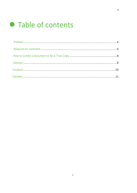# • Table of contents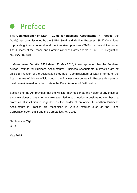## **•** Preface

This **Commissioner of Oath – Guide for Business Accountants in Practice** (the Guide) was commissioned by the SAIBA Small and Medium Practices (SMP) Committee to provide guidance to small and medium sized practices (SMPs) on their duties under The Justices of the Peace and Commissioner of Oaths Act No. 16 of 1963, Regulation No. 66A (the Act)

In Government Gazette R421 dated 30 May 2014, it was approved that the Southern African Institute for Business Accountants: Business Accountants in Practice are ex officio (by reason of the designation they hold) Commissioners of Oath in terms of the Act. In terms of this ex officio status, the Business Accountant in Practice designation must be maintained in order to retain the Commissioner of Oath status.

Section 6 of the Act provides that the Minister may designate the holder of any office as a commissioner of oaths for any area specified in such notice. A designated member of a professional institution is regarded as the holder of an office. In addition Business Accountants in Practice are recognized in various statutes such as the Close Corporations Act, 1984 and the Companies Act, 2008.

Nicolaas van Wyk CEO

May 2014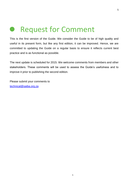## $\bullet$ Request for Comment

This is the first version of the Guide. We consider the Guide to be of high quality and useful in its present form, but like any first edition, it can be improved. Hence, we are committed to updating the Guide on a regular basis to ensure it reflects current best practice and is as functional as possible.

The next update is scheduled for 2015. We welcome comments from members and other stakeholders. These comments will be used to assess the Guide's usefulness and to improve it prior to publishing the second edition.

Please submit your comments to [technical@saiba.org.za](mailto:technical@saiba.org.za)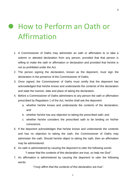# **• How to Perform an Oath or** Affirmation

- 1. A Commissioner of Oaths may administer an oath or affirmation to or take a solemn or attested declaration from any person, provided that that person is willing to make the oath or affirmation or declaration and provided that he/she is not so prohibited under the Act.
- 2. The person signing the declaration, known as the deponent, must sign the declaration in the presence of the Commissioner of Oaths.
- 3. Once signed, the Commissioner of Oaths must certify that the deponent has acknowledged that he/she knows and understands the contents of the declaration and state the manner, date and place of taking the declaration.
- 4. Before a Commissioner of Oaths administers to any person the oath or affirmation prescribed by Regulation 1 of the Act, he/she shall ask the deponent:
	- a. whether he/she knows and understands the contents of the declaration; and
	- b. whether he/she has any objection to taking the prescribed oath; and
	- c. whether he/she considers the prescribed oath to be binding on his/her conscience.
- 5. If the deponent acknowledges that he/she knows and understands the contents and has no objection to taking the oath, the Commissioner of Oaths may administer the oath. Should he/she object to taking the oath, then an affirmation may be administered.
- 6. An oath is administered by causing the deponent to utter the following words:

*"I swear that the contents of this declaration are true, so help me God".*

7. An affirmation is administered by causing the deponent to utter the following words:

*"I truly affirm that the contents of this declaration are true".*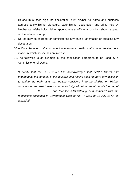- 8. He/she must then sign the declaration, print his/her full name and business address below his/her signature, state his/her designation and office held by him/her as he/she holds his/her appointment ex officio, all of which should appear on the relevant stamp.
- 9. No fee may be charged for administering any oath or affirmation or attesting any declaration.
- 10.A Commissioner of Oaths cannot administer an oath or affirmation relating to a matter in which he/she has an interest.
- 11.The following is an example of the certification paragraph to be used by a Commissioner of Oaths:

*"I certify that the DEPONENT has acknowledged that he/she knows and understands the contents of this affidavit, that he/she does not have any objection to taking the oath, and that he/she considers it to be binding on his/her conscience, and which was sworn to and signed before me at on this the day of \_\_\_\_\_\_\_\_\_\_\_\_20\_\_\_\_\_\_ , and that the administering oath complied with the regulations contained in Government Gazette No. R 1258 of 21 July 1972, as amended.*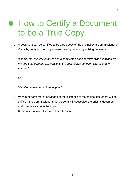# **• How to Certify a Document** to be a True Copy

1. A document can be certified to be a true copy of the original by a Commissioner of Oaths by verifying the copy against the original and by affixing the words:

*"I certify that this document is a true copy of the original which was examined by me and that, from my observations, the original has not been altered in any manner"*

or

*"Certified a true copy of the original"*

- 2. Very Important: mere knowledge of the existence of the original document will not suffice – the Commissioner must personally inspect/view the original document and compare same to the copy.
- 3. Remember to insert the date of certification.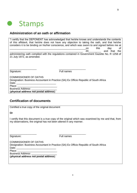

### **Administration of an oath or affirmation**

|                                                                                                                                                                                                                                | "I certify that the DEPONENT has acknowledged that he/she knows and understands the contents<br>of this affidavit, that he/she does not have any objection to taking the oath, and that he/she<br>considers it to be binding on his/her conscience, and which was sworn to and signed before me at<br>this<br>day<br>0f<br>on. |  |  |  |  |  |
|--------------------------------------------------------------------------------------------------------------------------------------------------------------------------------------------------------------------------------|--------------------------------------------------------------------------------------------------------------------------------------------------------------------------------------------------------------------------------------------------------------------------------------------------------------------------------|--|--|--|--|--|
|                                                                                                                                                                                                                                | 20<br>and that the                                                                                                                                                                                                                                                                                                             |  |  |  |  |  |
| administering oath complied with the regulations contained in Government Gazette No. R 1258 of<br>21 July 1972, as amended.                                                                                                    |                                                                                                                                                                                                                                                                                                                                |  |  |  |  |  |
| Signature:                                                                                                                                                                                                                     | Full names                                                                                                                                                                                                                                                                                                                     |  |  |  |  |  |
| <b>COMMISSIONER OF OATHS</b>                                                                                                                                                                                                   |                                                                                                                                                                                                                                                                                                                                |  |  |  |  |  |
| Designation: Business Accountant in Practice (SA) Ex Officio Republic of South Africa                                                                                                                                          |                                                                                                                                                                                                                                                                                                                                |  |  |  |  |  |
| Date: the contract of the contract of the contract of the contract of the contract of the contract of the contract of the contract of the contract of the contract of the contract of the contract of the contract of the cont |                                                                                                                                                                                                                                                                                                                                |  |  |  |  |  |
| Place:                                                                                                                                                                                                                         |                                                                                                                                                                                                                                                                                                                                |  |  |  |  |  |
| <b>Business Address:</b>                                                                                                                                                                                                       |                                                                                                                                                                                                                                                                                                                                |  |  |  |  |  |
| (physical address not postal address)                                                                                                                                                                                          |                                                                                                                                                                                                                                                                                                                                |  |  |  |  |  |

### **Certification of documents**

Certified a true copy of the original document

**Or**

I certify that this document is a true copy of the original which was examined by me and that, from my observations, the original has not been altered in any manner.

Signature: Full names

COMMISSIONER OF OATHS Designation: Business Accountant in Practice (SA) Ex Officio Republic of South Africa Date: \_\_\_\_\_\_\_\_\_\_\_\_\_\_\_\_\_\_\_\_\_\_\_\_\_\_\_\_ Place: \_\_\_\_\_\_\_\_\_\_\_\_\_\_\_\_\_\_\_\_\_\_\_\_\_\_\_\_ Business Address: (**physical address not postal address**)

\_\_\_\_\_\_\_\_\_\_\_\_\_\_\_\_\_\_\_ \_\_\_\_\_\_\_\_\_\_\_\_\_\_\_\_\_\_\_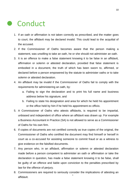## **• Conduct**

- 1. If an oath or affirmation is not taken correctly as prescribed, and the matter goes to court, the affidavit may be declared invalid. This could lead to the acquittal of the accused.
- 2. If the Commissioner of Oaths becomes aware that the person making a statement, was unwilling to take an oath, he or she should not administer an oath.
- 3. It is an offence to make a false statement knowing it to be false in an affidavit, affirmation or solemn or attested declaration, provided that false statement is embodied in a document, the truth of which has been sworn to, affirmed, or declared before a person empowered by the statute to administer oaths or to take solemn or attested declaration.
- 4. An affidavit may be invalid if the Commissioner of Oaths fail to comply with the requirements for administering an oath, by:
	- a. Failing to sign the declaration and to print his full name and business address below his signature, and
	- b. Failing to state his designation and area for which he held his appointment or the office held by him if he held his appointment ex officio.
- 5. A Commissioner of Oaths who attests affidavits, is required to be impartial, unbiased and independent of office where an affidavit was drawn up. For example a Business Accountant in Practice (SA) is not allowed to serve as a Commissioner of Oaths for his own firm.
- 6. If copies of documents are not certified correctly as true copies of the original, the Commissioner of Oaths who certified the document may find himself or herself in court as a co-accused for assisting someone to commit fraud or as a witness to give evidence on the falsified documents.
- 7. Any person who, in an affidavit, affirmation or solemn or attested declaration made before a person competent to administer an oath or affirmation or take the declaration in question, has made a false statement knowing it to be false, shall be guilty of an offence and liable upon conviction to the penalties prescribed by law for the offence of perjury.
- 1 8. Commissioners are required to seriously consider the implications of attesting an affidavit.